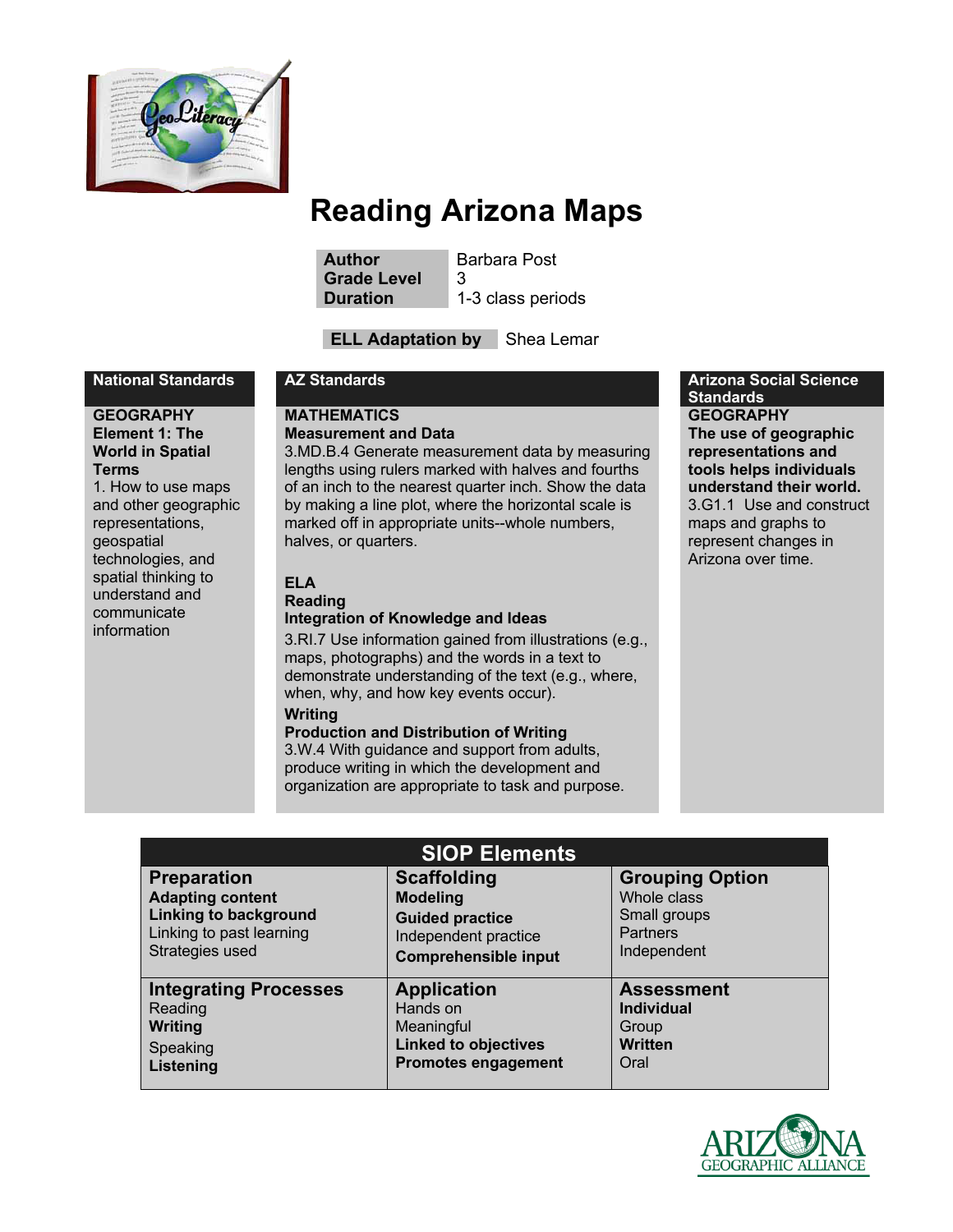

**Author** Barbara Post **Grade Level** 3 **Duration** 1-3 class periods

**ELL Adaptation by** Shea Lemar

#### **GEOGRAPHY Element 1: The World in Spatial Terms**

1. How to use maps and other geographic representations, geospatial technologies, and spatial thinking to understand and communicate information

#### **MATHEMATICS Measurement and Data**

3.MD.B.4 Generate measurement data by measuring lengths using rulers marked with halves and fourths of an inch to the nearest quarter inch. Show the data by making a line plot, where the horizontal scale is marked off in appropriate units--whole numbers, halves, or quarters.

# **ELA**

#### **Reading Integration of Knowledge and Ideas**

3.RI.7 Use information gained from illustrations (e.g., maps, photographs) and the words in a text to demonstrate understanding of the text (e.g., where, when, why, and how key events occur).

#### **Writing**

#### **Production and Distribution of Writing**

3.W.4 With guidance and support from adults, produce writing in which the development and organization are appropriate to task and purpose.

#### **National Standards AZ Standards Arizona Social Science Standards GEOGRAPHY The use of geographic representations and tools helps individuals understand their world.** 3.G1.1 Use and construct

maps and graphs to represent changes in Arizona over time.

| <b>SIOP Elements</b>         |                             |                        |
|------------------------------|-----------------------------|------------------------|
| <b>Preparation</b>           | <b>Scaffolding</b>          | <b>Grouping Option</b> |
| <b>Adapting content</b>      | <b>Modeling</b>             | Whole class            |
| <b>Linking to background</b> | <b>Guided practice</b>      | Small groups           |
| Linking to past learning     | Independent practice        | <b>Partners</b>        |
| Strategies used              | <b>Comprehensible input</b> | Independent            |
| <b>Integrating Processes</b> | <b>Application</b>          | <b>Assessment</b>      |
| Reading                      | Hands on                    | <b>Individual</b>      |
| <b>Writing</b>               | Meaningful                  | Group                  |
| Speaking                     | <b>Linked to objectives</b> | <b>Written</b>         |
| Listening                    | <b>Promotes engagement</b>  | Oral                   |

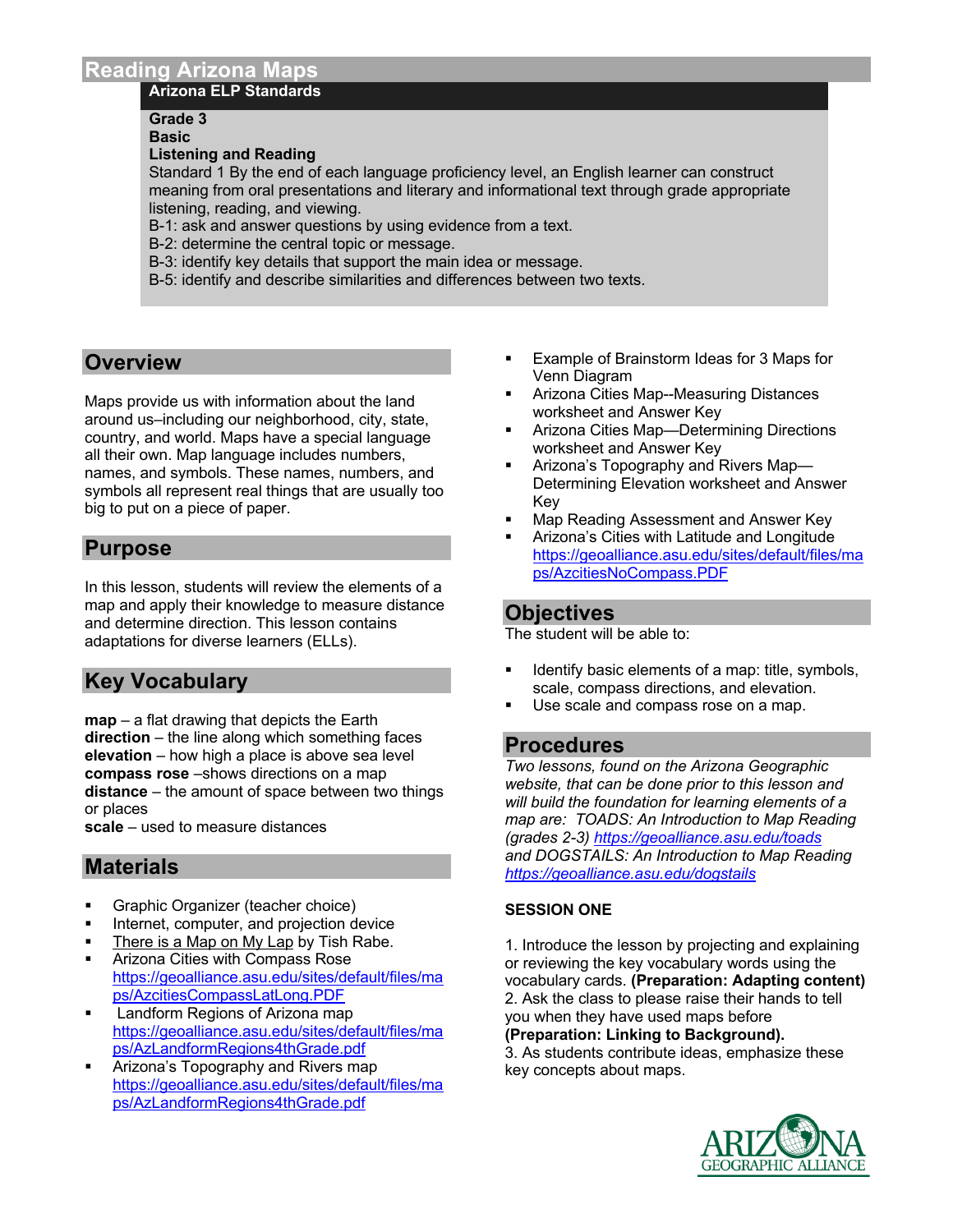### **Arizona ELP Standards**

# **Grade 3**

**Basic**

#### **Listening and Reading**

Standard 1 By the end of each language proficiency level, an English learner can construct meaning from oral presentations and literary and informational text through grade appropriate listening, reading, and viewing.

- B-1: ask and answer questions by using evidence from a text.
- B-2: determine the central topic or message.
- B-3: identify key details that support the main idea or message.
- B-5: identify and describe similarities and differences between two texts.

# **Overview**

Maps provide us with information about the land around us–including our neighborhood, city, state, country, and world. Maps have a special language all their own. Map language includes numbers, names, and symbols. These names, numbers, and symbols all represent real things that are usually too big to put on a piece of paper.

# **Purpose**

In this lesson, students will review the elements of a map and apply their knowledge to measure distance and determine direction. This lesson contains adaptations for diverse learners (ELLs).

# **Key Vocabulary**

**map** – a flat drawing that depicts the Earth **direction** – the line along which something faces **elevation** – how high a place is above sea level **compass rose** –shows directions on a map **distance** – the amount of space between two things or places

**scale** – used to measure distances

# **Materials**

- § Graphic Organizer (teacher choice)
- Internet, computer, and projection device
- There is a Map on My Lap by Tish Rabe.
- § Arizona Cities with Compass Rose https://geoalliance.asu.edu/sites/default/files/ma ps/AzcitiesCompassLatLong.PDF
- § Landform Regions of Arizona map https://geoalliance.asu.edu/sites/default/files/ma ps/AzLandformRegions4thGrade.pdf
- Arizona's Topography and Rivers map https://geoalliance.asu.edu/sites/default/files/ma ps/AzLandformRegions4thGrade.pdf
- § Example of Brainstorm Ideas for 3 Maps for Venn Diagram
- § Arizona Cities Map--Measuring Distances worksheet and Answer Key
- **Arizona Cities Map—Determining Directions** worksheet and Answer Key
- **Arizona's Topography and Rivers Map—** Determining Elevation worksheet and Answer Key
- § Map Reading Assessment and Answer Key
- § Arizona's Cities with Latitude and Longitude https://geoalliance.asu.edu/sites/default/files/ma ps/AzcitiesNoCompass.PDF

# **Objectives**

The student will be able to:

- § Identify basic elements of a map: title, symbols, scale, compass directions, and elevation.
- Use scale and compass rose on a map.

# **Procedures**

*Two lessons, found on the Arizona Geographic website, that can be done prior to this lesson and will build the foundation for learning elements of a map are: TOADS: An Introduction to Map Reading (grades 2-3) https://geoalliance.asu.edu/toads and DOGSTAILS: An Introduction to Map Reading https://geoalliance.asu.edu/dogstails*

## **SESSION ONE**

1. Introduce the lesson by projecting and explaining or reviewing the key vocabulary words using the vocabulary cards. **(Preparation: Adapting content)** 2. Ask the class to please raise their hands to tell you when they have used maps before

#### **(Preparation: Linking to Background).**

3. As students contribute ideas, emphasize these key concepts about maps.

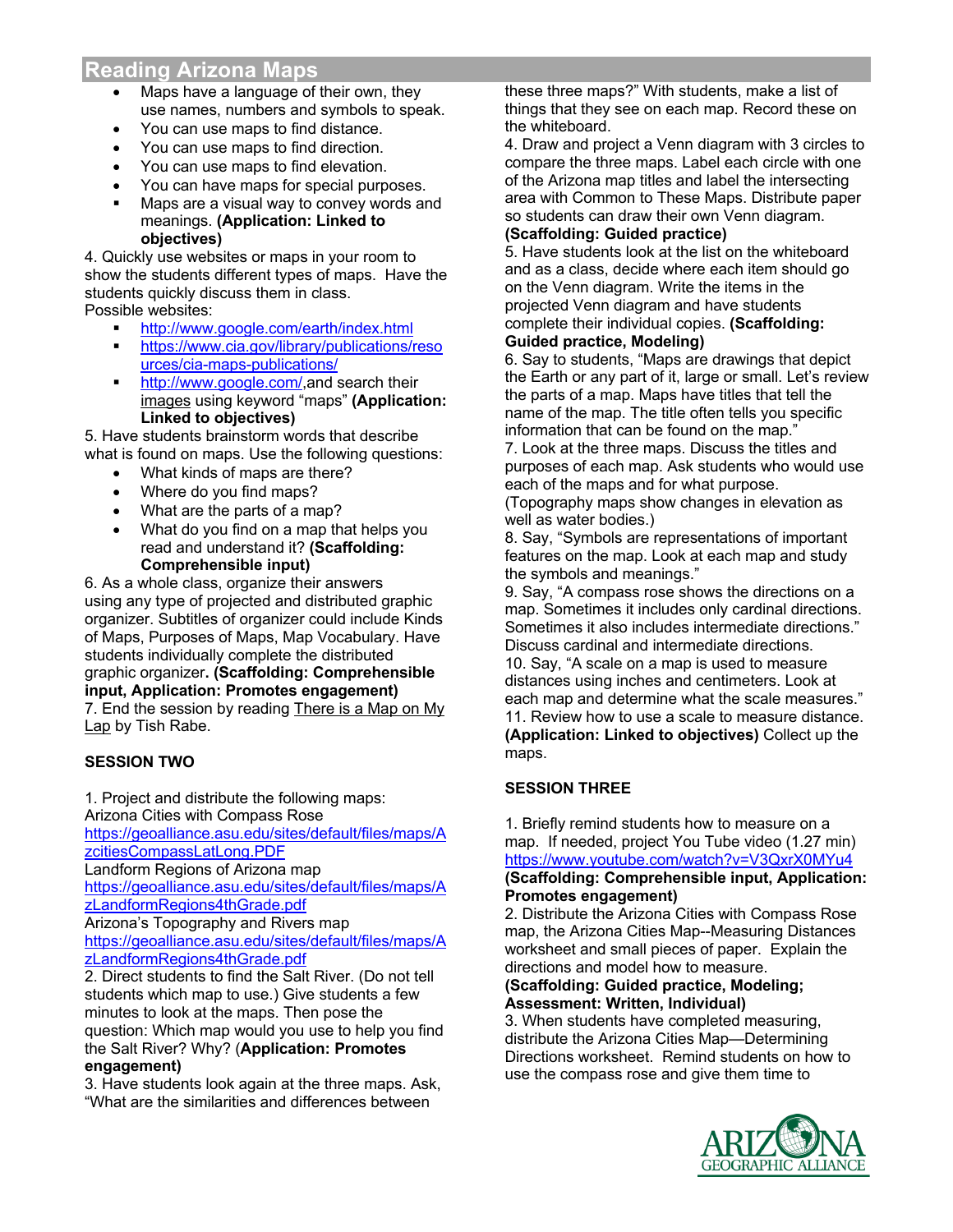- Maps have a language of their own, they use names, numbers and symbols to speak.
- You can use maps to find distance.
- You can use maps to find direction.
- You can use maps to find elevation.
- You can have maps for special purposes.
- Maps are a visual way to convey words and meanings. **(Application: Linked to objectives)**

4. Quickly use websites or maps in your room to show the students different types of maps. Have the students quickly discuss them in class. Possible websites:

- § http://www.google.com/earth/index.html
- § https://www.cia.gov/library/publications/reso urces/cia-maps-publications/
- http://www.google.com/, and search their images using keyword "maps" **(Application: Linked to objectives)**

5. Have students brainstorm words that describe what is found on maps. Use the following questions:

- What kinds of maps are there?
- Where do you find maps?
- What are the parts of a map?
- What do you find on a map that helps you read and understand it? **(Scaffolding: Comprehensible input)**

6. As a whole class, organize their answers using any type of projected and distributed graphic organizer. Subtitles of organizer could include Kinds of Maps, Purposes of Maps, Map Vocabulary. Have students individually complete the distributed graphic organizer**. (Scaffolding: Comprehensible input, Application: Promotes engagement)**

7. End the session by reading There is a Map on My Lap by Tish Rabe.

# **SESSION TWO**

1. Project and distribute the following maps:

Arizona Cities with Compass Rose

https://geoalliance.asu.edu/sites/default/files/maps/A zcitiesCompassLatLong.PDF

Landform Regions of Arizona map

https://geoalliance.asu.edu/sites/default/files/maps/A zLandformRegions4thGrade.pdf

Arizona's Topography and Rivers map

https://geoalliance.asu.edu/sites/default/files/maps/A zLandformRegions4thGrade.pdf

2. Direct students to find the Salt River. (Do not tell students which map to use.) Give students a few minutes to look at the maps. Then pose the question: Which map would you use to help you find the Salt River? Why? (**Application: Promotes engagement)**

3. Have students look again at the three maps. Ask, "What are the similarities and differences between

these three maps?" With students, make a list of things that they see on each map. Record these on the whiteboard.

4. Draw and project a Venn diagram with 3 circles to compare the three maps. Label each circle with one of the Arizona map titles and label the intersecting area with Common to These Maps. Distribute paper so students can draw their own Venn diagram.

### **(Scaffolding: Guided practice)**

5. Have students look at the list on the whiteboard and as a class, decide where each item should go on the Venn diagram. Write the items in the projected Venn diagram and have students complete their individual copies. **(Scaffolding: Guided practice, Modeling)**

6. Say to students, "Maps are drawings that depict the Earth or any part of it, large or small. Let's review the parts of a map. Maps have titles that tell the name of the map. The title often tells you specific information that can be found on the map."

7. Look at the three maps. Discuss the titles and purposes of each map. Ask students who would use each of the maps and for what purpose. (Topography maps show changes in elevation as

well as water bodies.)

8. Say, "Symbols are representations of important features on the map. Look at each map and study the symbols and meanings."

9. Say, "A compass rose shows the directions on a map. Sometimes it includes only cardinal directions. Sometimes it also includes intermediate directions." Discuss cardinal and intermediate directions. 10. Say, "A scale on a map is used to measure

distances using inches and centimeters. Look at each map and determine what the scale measures." 11. Review how to use a scale to measure distance. **(Application: Linked to objectives)** Collect up the maps.

## **SESSION THREE**

1. Briefly remind students how to measure on a map. If needed, project You Tube video (1.27 min) https://www.youtube.com/watch?v=V3QxrX0MYu4 **(Scaffolding: Comprehensible input, Application: Promotes engagement)**

2. Distribute the Arizona Cities with Compass Rose map, the Arizona Cities Map--Measuring Distances worksheet and small pieces of paper. Explain the directions and model how to measure.

#### **(Scaffolding: Guided practice, Modeling; Assessment: Written, Individual)**

3. When students have completed measuring, distribute the Arizona Cities Map—Determining Directions worksheet. Remind students on how to use the compass rose and give them time to